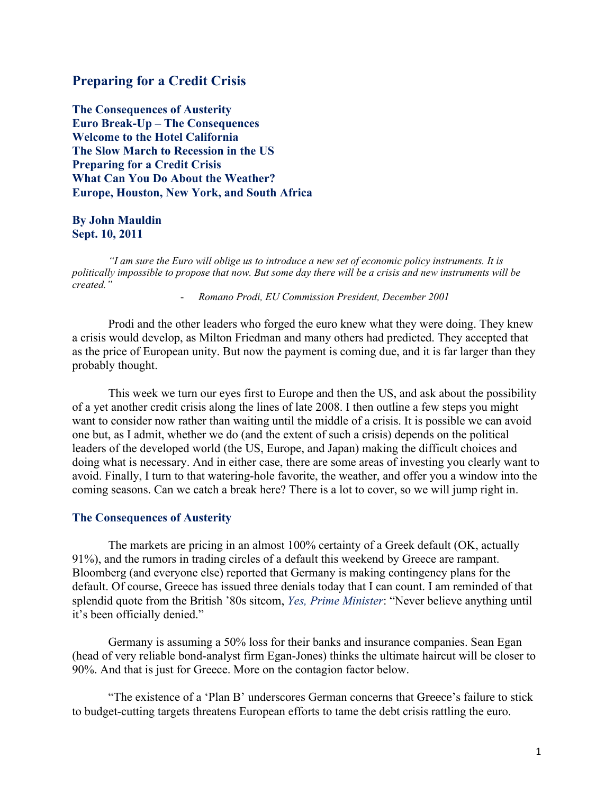# **Preparing for a Credit Crisis**

**The Consequences of Austerity Euro Break-Up – The Consequences Welcome to the Hotel California The Slow March to Recession in the US Preparing for a Credit Crisis What Can You Do About the Weather? Europe, Houston, New York, and South Africa**

### **By John Mauldin Sept. 10, 2011**

*"I am sure the Euro will oblige us to introduce a new set of economic policy instruments. It is politically impossible to propose that now. But some day there will be a crisis and new instruments will be created."* 

- *Romano Prodi, EU Commission President, December 2001*

Prodi and the other leaders who forged the euro knew what they were doing. They knew a crisis would develop, as Milton Friedman and many others had predicted. They accepted that as the price of European unity. But now the payment is coming due, and it is far larger than they probably thought.

This week we turn our eyes first to Europe and then the US, and ask about the possibility of a yet another credit crisis along the lines of late 2008. I then outline a few steps you might want to consider now rather than waiting until the middle of a crisis. It is possible we can avoid one but, as I admit, whether we do (and the extent of such a crisis) depends on the political leaders of the developed world (the US, Europe, and Japan) making the difficult choices and doing what is necessary. And in either case, there are some areas of investing you clearly want to avoid. Finally, I turn to that watering-hole favorite, the weather, and offer you a window into the coming seasons. Can we catch a break here? There is a lot to cover, so we will jump right in.

#### **The Consequences of Austerity**

The markets are pricing in an almost 100% certainty of a Greek default (OK, actually 91%), and the rumors in trading circles of a default this weekend by Greece are rampant. Bloomberg (and everyone else) reported that Germany is making contingency plans for the default. Of course, Greece has issued three denials today that I can count. I am reminded of that splendid quote from the British '80s sitcom, *Yes, Prime Minister*: "Never believe anything until it's been officially denied."

Germany is assuming a 50% loss for their banks and insurance companies. Sean Egan (head of very reliable bond-analyst firm Egan-Jones) thinks the ultimate haircut will be closer to 90%. And that is just for Greece. More on the contagion factor below.

"The existence of a 'Plan B' underscores German concerns that Greece's failure to stick to budget-cutting targets threatens European efforts to tame the debt crisis rattling the euro.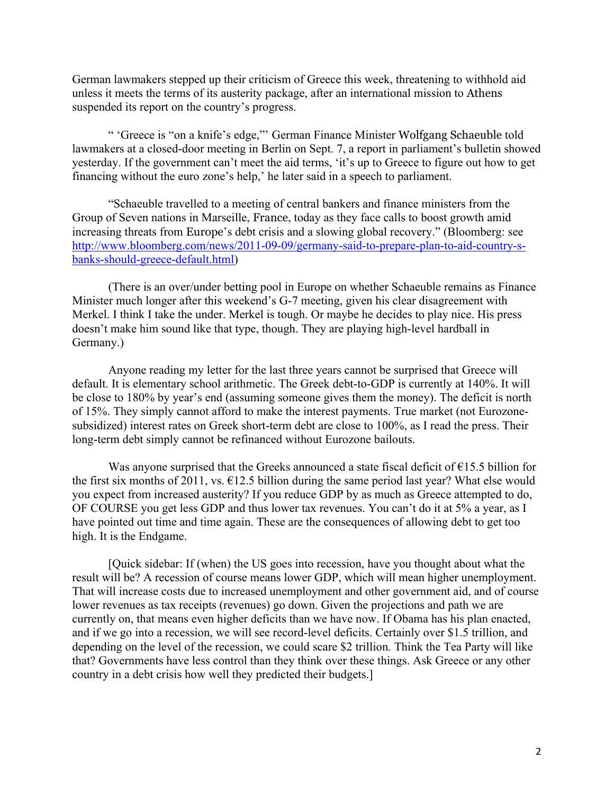German lawmakers stepped up their criticism of Greece this week, threatening to withhold aid unless it meets the terms of its austerity package, after an international mission to Athens suspended its report on the country's progress.

" 'Greece is "on a knife's edge,"' German Finance Minister Wolfgang Schaeuble told lawmakers at a closed-door meeting in Berlin on Sept. 7, a report in parliament's bulletin showed yesterday. If the government can't meet the aid terms, 'it's up to Greece to figure out how to get financing without the euro zone's help,' he later said in a speech to parliament.

"Schaeuble travelled to a meeting of central bankers and finance ministers from the Group of Seven nations in Marseille, France, today as they face calls to boost growth amid increasing threats from Europe's debt crisis and a slowing global recovery." (Bloomberg: see http://www.bloomberg.com/news/2011-09-09/germany-said-to-prepare-plan-to-aid-country-sbanks-should-greece-default.html)

(There is an over/under betting pool in Europe on whether Schaeuble remains as Finance Minister much longer after this weekend's G-7 meeting, given his clear disagreement with Merkel. I think I take the under. Merkel is tough. Or maybe he decides to play nice. His press doesn't make him sound like that type, though. They are playing high-level hardball in Germany.)

Anyone reading my letter for the last three years cannot be surprised that Greece will default. It is elementary school arithmetic. The Greek debt-to-GDP is currently at 140%. It will be close to 180% by year's end (assuming someone gives them the money). The deficit is north of 15%. They simply cannot afford to make the interest payments. True market (not Eurozonesubsidized) interest rates on Greek short-term debt are close to 100%, as I read the press. Their long-term debt simply cannot be refinanced without Eurozone bailouts.

Was anyone surprised that the Greeks announced a state fiscal deficit of  $E$ 15.5 billion for the first six months of 2011, vs.  $\epsilon$ 12.5 billion during the same period last year? What else would you expect from increased austerity? If you reduce GDP by as much as Greece attempted to do, OF COURSE you get less GDP and thus lower tax revenues. You can't do it at 5% a year, as I have pointed out time and time again. These are the consequences of allowing debt to get too high. It is the Endgame.

[Quick sidebar: If (when) the US goes into recession, have you thought about what the result will be? A recession of course means lower GDP, which will mean higher unemployment. That will increase costs due to increased unemployment and other government aid, and of course lower revenues as tax receipts (revenues) go down. Given the projections and path we are currently on, that means even higher deficits than we have now. If Obama has his plan enacted, and if we go into a recession, we will see record-level deficits. Certainly over \$1.5 trillion, and depending on the level of the recession, we could scare \$2 trillion. Think the Tea Party will like that? Governments have less control than they think over these things. Ask Greece or any other country in a debt crisis how well they predicted their budgets.]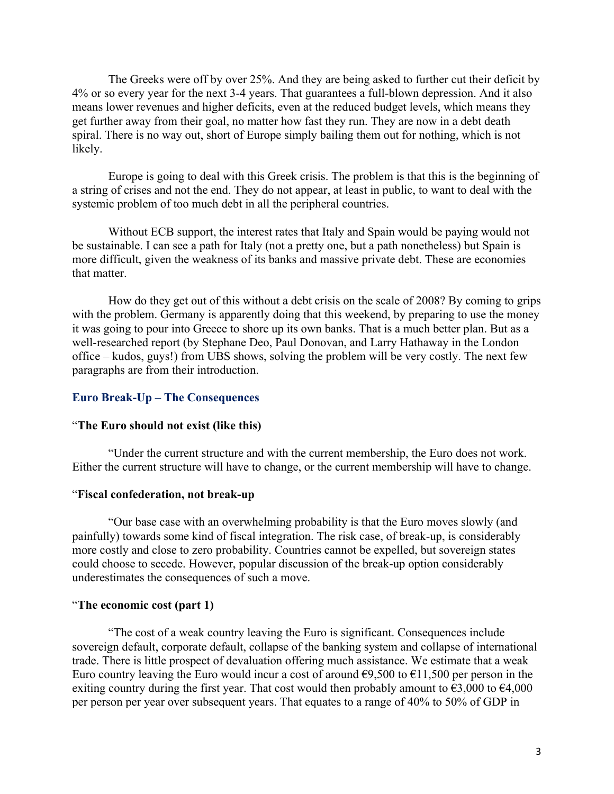The Greeks were off by over 25%. And they are being asked to further cut their deficit by 4% or so every year for the next 3-4 years. That guarantees a full-blown depression. And it also means lower revenues and higher deficits, even at the reduced budget levels, which means they get further away from their goal, no matter how fast they run. They are now in a debt death spiral. There is no way out, short of Europe simply bailing them out for nothing, which is not likely.

Europe is going to deal with this Greek crisis. The problem is that this is the beginning of a string of crises and not the end. They do not appear, at least in public, to want to deal with the systemic problem of too much debt in all the peripheral countries.

Without ECB support, the interest rates that Italy and Spain would be paying would not be sustainable. I can see a path for Italy (not a pretty one, but a path nonetheless) but Spain is more difficult, given the weakness of its banks and massive private debt. These are economies that matter.

How do they get out of this without a debt crisis on the scale of 2008? By coming to grips with the problem. Germany is apparently doing that this weekend, by preparing to use the money it was going to pour into Greece to shore up its own banks. That is a much better plan. But as a well-researched report (by Stephane Deo, Paul Donovan, and Larry Hathaway in the London office – kudos, guys!) from UBS shows, solving the problem will be very costly. The next few paragraphs are from their introduction.

#### **Euro Break-Up – The Consequences**

## "**The Euro should not exist (like this)**

"Under the current structure and with the current membership, the Euro does not work. Either the current structure will have to change, or the current membership will have to change.

#### "**Fiscal confederation, not break-up**

"Our base case with an overwhelming probability is that the Euro moves slowly (and painfully) towards some kind of fiscal integration. The risk case, of break-up, is considerably more costly and close to zero probability. Countries cannot be expelled, but sovereign states could choose to secede. However, popular discussion of the break-up option considerably underestimates the consequences of such a move.

#### "**The economic cost (part 1)**

"The cost of a weak country leaving the Euro is significant. Consequences include sovereign default, corporate default, collapse of the banking system and collapse of international trade. There is little prospect of devaluation offering much assistance. We estimate that a weak Euro country leaving the Euro would incur a cost of around  $\epsilon$ 9.500 to  $\epsilon$ 11.500 per person in the exiting country during the first year. That cost would then probably amount to  $\epsilon$ 3,000 to  $\epsilon$ 4,000 per person per year over subsequent years. That equates to a range of 40% to 50% of GDP in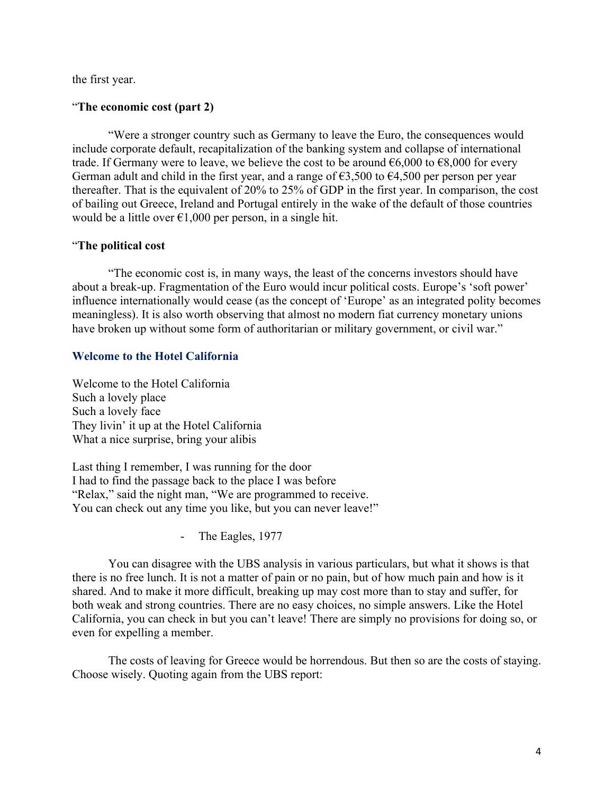the first year.

# "**The economic cost (part 2)**

"Were a stronger country such as Germany to leave the Euro, the consequences would include corporate default, recapitalization of the banking system and collapse of international trade. If Germany were to leave, we believe the cost to be around  $\epsilon$ 6,000 to  $\epsilon$ 8,000 for every German adult and child in the first year, and a range of  $63,500$  to  $64,500$  per person per year thereafter. That is the equivalent of 20% to 25% of GDP in the first year. In comparison, the cost of bailing out Greece, Ireland and Portugal entirely in the wake of the default of those countries would be a little over  $\epsilon$ 1,000 per person, in a single hit.

## "**The political cost**

"The economic cost is, in many ways, the least of the concerns investors should have about a break-up. Fragmentation of the Euro would incur political costs. Europe's 'soft power' influence internationally would cease (as the concept of 'Europe' as an integrated polity becomes meaningless). It is also worth observing that almost no modern fiat currency monetary unions have broken up without some form of authoritarian or military government, or civil war."

# **Welcome to the Hotel California**

Welcome to the Hotel California Such a lovely place Such a lovely face They livin' it up at the Hotel California What a nice surprise, bring your alibis

Last thing I remember, I was running for the door I had to find the passage back to the place I was before "Relax," said the night man, "We are programmed to receive. You can check out any time you like, but you can never leave!"

- The Eagles, 1977

You can disagree with the UBS analysis in various particulars, but what it shows is that there is no free lunch. It is not a matter of pain or no pain, but of how much pain and how is it shared. And to make it more difficult, breaking up may cost more than to stay and suffer, for both weak and strong countries. There are no easy choices, no simple answers. Like the Hotel California, you can check in but you can't leave! There are simply no provisions for doing so, or even for expelling a member.

The costs of leaving for Greece would be horrendous. But then so are the costs of staying. Choose wisely. Quoting again from the UBS report: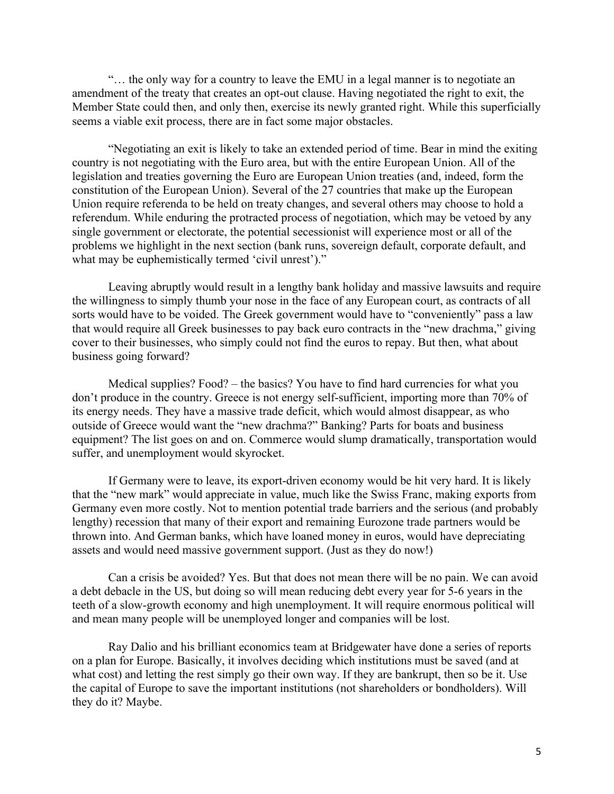"… the only way for a country to leave the EMU in a legal manner is to negotiate an amendment of the treaty that creates an opt-out clause. Having negotiated the right to exit, the Member State could then, and only then, exercise its newly granted right. While this superficially seems a viable exit process, there are in fact some major obstacles.

"Negotiating an exit is likely to take an extended period of time. Bear in mind the exiting country is not negotiating with the Euro area, but with the entire European Union. All of the legislation and treaties governing the Euro are European Union treaties (and, indeed, form the constitution of the European Union). Several of the 27 countries that make up the European Union require referenda to be held on treaty changes, and several others may choose to hold a referendum. While enduring the protracted process of negotiation, which may be vetoed by any single government or electorate, the potential secessionist will experience most or all of the problems we highlight in the next section (bank runs, sovereign default, corporate default, and what may be euphemistically termed 'civil unrest')."

Leaving abruptly would result in a lengthy bank holiday and massive lawsuits and require the willingness to simply thumb your nose in the face of any European court, as contracts of all sorts would have to be voided. The Greek government would have to "conveniently" pass a law that would require all Greek businesses to pay back euro contracts in the "new drachma," giving cover to their businesses, who simply could not find the euros to repay. But then, what about business going forward?

Medical supplies? Food? – the basics? You have to find hard currencies for what you don't produce in the country. Greece is not energy self-sufficient, importing more than 70% of its energy needs. They have a massive trade deficit, which would almost disappear, as who outside of Greece would want the "new drachma?" Banking? Parts for boats and business equipment? The list goes on and on. Commerce would slump dramatically, transportation would suffer, and unemployment would skyrocket.

If Germany were to leave, its export-driven economy would be hit very hard. It is likely that the "new mark" would appreciate in value, much like the Swiss Franc, making exports from Germany even more costly. Not to mention potential trade barriers and the serious (and probably lengthy) recession that many of their export and remaining Eurozone trade partners would be thrown into. And German banks, which have loaned money in euros, would have depreciating assets and would need massive government support. (Just as they do now!)

Can a crisis be avoided? Yes. But that does not mean there will be no pain. We can avoid a debt debacle in the US, but doing so will mean reducing debt every year for 5-6 years in the teeth of a slow-growth economy and high unemployment. It will require enormous political will and mean many people will be unemployed longer and companies will be lost.

Ray Dalio and his brilliant economics team at Bridgewater have done a series of reports on a plan for Europe. Basically, it involves deciding which institutions must be saved (and at what cost) and letting the rest simply go their own way. If they are bankrupt, then so be it. Use the capital of Europe to save the important institutions (not shareholders or bondholders). Will they do it? Maybe.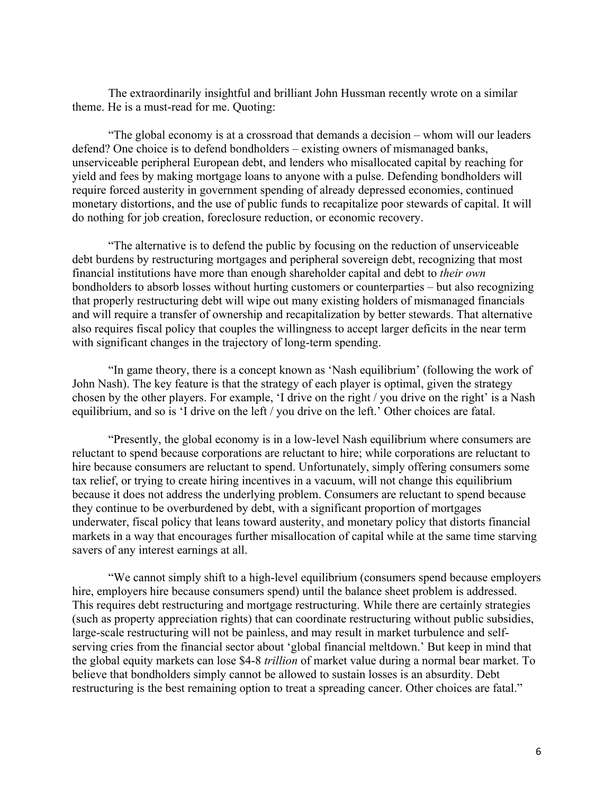The extraordinarily insightful and brilliant John Hussman recently wrote on a similar theme. He is a must-read for me. Quoting:

"The global economy is at a crossroad that demands a decision – whom will our leaders defend? One choice is to defend bondholders – existing owners of mismanaged banks, unserviceable peripheral European debt, and lenders who misallocated capital by reaching for yield and fees by making mortgage loans to anyone with a pulse. Defending bondholders will require forced austerity in government spending of already depressed economies, continued monetary distortions, and the use of public funds to recapitalize poor stewards of capital. It will do nothing for job creation, foreclosure reduction, or economic recovery.

"The alternative is to defend the public by focusing on the reduction of unserviceable debt burdens by restructuring mortgages and peripheral sovereign debt, recognizing that most financial institutions have more than enough shareholder capital and debt to *their own* bondholders to absorb losses without hurting customers or counterparties – but also recognizing that properly restructuring debt will wipe out many existing holders of mismanaged financials and will require a transfer of ownership and recapitalization by better stewards. That alternative also requires fiscal policy that couples the willingness to accept larger deficits in the near term with significant changes in the trajectory of long-term spending.

"In game theory, there is a concept known as 'Nash equilibrium' (following the work of John Nash). The key feature is that the strategy of each player is optimal, given the strategy chosen by the other players. For example, 'I drive on the right / you drive on the right' is a Nash equilibrium, and so is 'I drive on the left / you drive on the left.' Other choices are fatal.

"Presently, the global economy is in a low-level Nash equilibrium where consumers are reluctant to spend because corporations are reluctant to hire; while corporations are reluctant to hire because consumers are reluctant to spend. Unfortunately, simply offering consumers some tax relief, or trying to create hiring incentives in a vacuum, will not change this equilibrium because it does not address the underlying problem. Consumers are reluctant to spend because they continue to be overburdened by debt, with a significant proportion of mortgages underwater, fiscal policy that leans toward austerity, and monetary policy that distorts financial markets in a way that encourages further misallocation of capital while at the same time starving savers of any interest earnings at all.

"We cannot simply shift to a high-level equilibrium (consumers spend because employers hire, employers hire because consumers spend) until the balance sheet problem is addressed. This requires debt restructuring and mortgage restructuring. While there are certainly strategies (such as property appreciation rights) that can coordinate restructuring without public subsidies, large-scale restructuring will not be painless, and may result in market turbulence and selfserving cries from the financial sector about 'global financial meltdown.' But keep in mind that the global equity markets can lose \$4-8 *trillion* of market value during a normal bear market. To believe that bondholders simply cannot be allowed to sustain losses is an absurdity. Debt restructuring is the best remaining option to treat a spreading cancer. Other choices are fatal."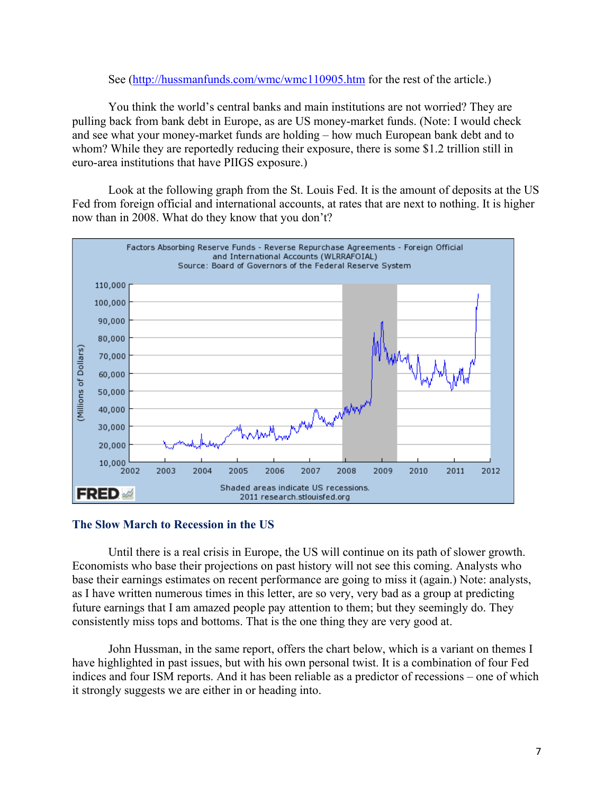### See (http://hussmanfunds.com/wmc/wmc110905.htm for the rest of the article.)

You think the world's central banks and main institutions are not worried? They are pulling back from bank debt in Europe, as are US money-market funds. (Note: I would check and see what your money-market funds are holding – how much European bank debt and to whom? While they are reportedly reducing their exposure, there is some \$1.2 trillion still in euro-area institutions that have PIIGS exposure.)

Look at the following graph from the St. Louis Fed. It is the amount of deposits at the US Fed from foreign official and international accounts, at rates that are next to nothing. It is higher now than in 2008. What do they know that you don't?



## **The Slow March to Recession in the US**

Until there is a real crisis in Europe, the US will continue on its path of slower growth. Economists who base their projections on past history will not see this coming. Analysts who base their earnings estimates on recent performance are going to miss it (again.) Note: analysts, as I have written numerous times in this letter, are so very, very bad as a group at predicting future earnings that I am amazed people pay attention to them; but they seemingly do. They consistently miss tops and bottoms. That is the one thing they are very good at.

John Hussman, in the same report, offers the chart below, which is a variant on themes I have highlighted in past issues, but with his own personal twist. It is a combination of four Fed indices and four ISM reports. And it has been reliable as a predictor of recessions – one of which it strongly suggests we are either in or heading into.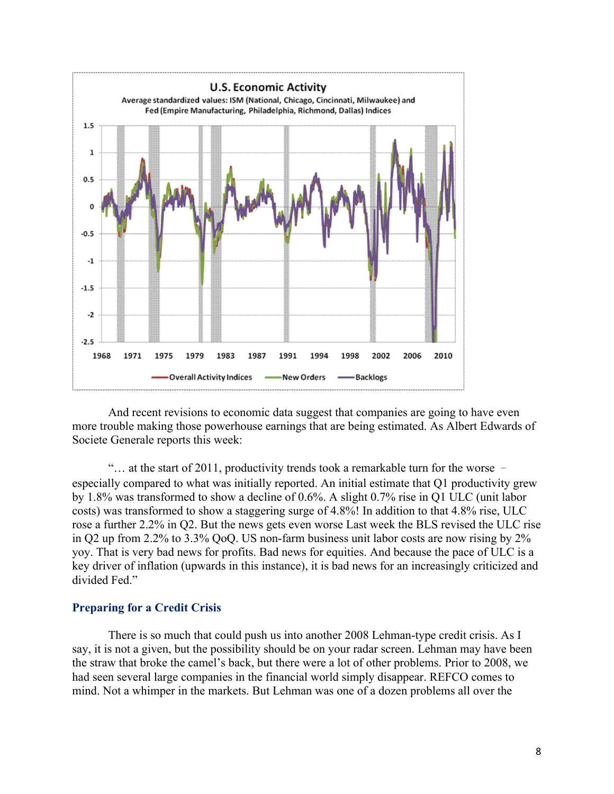

And recent revisions to economic data suggest that companies are going to have even more trouble making those powerhouse earnings that are being estimated. As Albert Edwards of Societe Generale reports this week:

"… at the start of 2011, productivity trends took a remarkable turn for the worse – especially compared to what was initially reported. An initial estimate that Q1 productivity grew by 1.8% was transformed to show a decline of 0.6%. A slight 0.7% rise in Q1 ULC (unit labor costs) was transformed to show a staggering surge of 4.8%! In addition to that 4.8% rise, ULC rose a further 2.2% in Q2. But the news gets even worse Last week the BLS revised the ULC rise in Q2 up from 2.2% to 3.3% QoQ. US non-farm business unit labor costs are now rising by 2% yoy. That is very bad news for profits. Bad news for equities. And because the pace of ULC is a key driver of inflation (upwards in this instance), it is bad news for an increasingly criticized and divided Fed."

#### **Preparing for a Credit Crisis**

There is so much that could push us into another 2008 Lehman-type credit crisis. As I say, it is not a given, but the possibility should be on your radar screen. Lehman may have been the straw that broke the camel's back, but there were a lot of other problems. Prior to 2008, we had seen several large companies in the financial world simply disappear. REFCO comes to mind. Not a whimper in the markets. But Lehman was one of a dozen problems all over the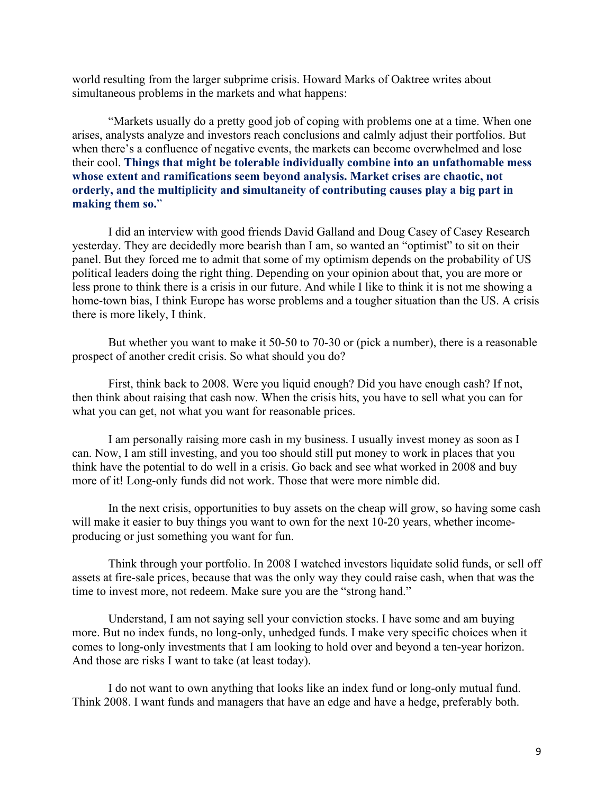world resulting from the larger subprime crisis. Howard Marks of Oaktree writes about simultaneous problems in the markets and what happens:

"Markets usually do a pretty good job of coping with problems one at a time. When one arises, analysts analyze and investors reach conclusions and calmly adjust their portfolios. But when there's a confluence of negative events, the markets can become overwhelmed and lose their cool. **Things that might be tolerable individually combine into an unfathomable mess whose extent and ramifications seem beyond analysis. Market crises are chaotic, not orderly, and the multiplicity and simultaneity of contributing causes play a big part in making them so.**"

I did an interview with good friends David Galland and Doug Casey of Casey Research yesterday. They are decidedly more bearish than I am, so wanted an "optimist" to sit on their panel. But they forced me to admit that some of my optimism depends on the probability of US political leaders doing the right thing. Depending on your opinion about that, you are more or less prone to think there is a crisis in our future. And while I like to think it is not me showing a home-town bias, I think Europe has worse problems and a tougher situation than the US. A crisis there is more likely, I think.

But whether you want to make it 50-50 to 70-30 or (pick a number), there is a reasonable prospect of another credit crisis. So what should you do?

First, think back to 2008. Were you liquid enough? Did you have enough cash? If not, then think about raising that cash now. When the crisis hits, you have to sell what you can for what you can get, not what you want for reasonable prices.

I am personally raising more cash in my business. I usually invest money as soon as I can. Now, I am still investing, and you too should still put money to work in places that you think have the potential to do well in a crisis. Go back and see what worked in 2008 and buy more of it! Long-only funds did not work. Those that were more nimble did.

In the next crisis, opportunities to buy assets on the cheap will grow, so having some cash will make it easier to buy things you want to own for the next 10-20 years, whether incomeproducing or just something you want for fun.

Think through your portfolio. In 2008 I watched investors liquidate solid funds, or sell off assets at fire-sale prices, because that was the only way they could raise cash, when that was the time to invest more, not redeem. Make sure you are the "strong hand."

Understand, I am not saying sell your conviction stocks. I have some and am buying more. But no index funds, no long-only, unhedged funds. I make very specific choices when it comes to long-only investments that I am looking to hold over and beyond a ten-year horizon. And those are risks I want to take (at least today).

I do not want to own anything that looks like an index fund or long-only mutual fund. Think 2008. I want funds and managers that have an edge and have a hedge, preferably both.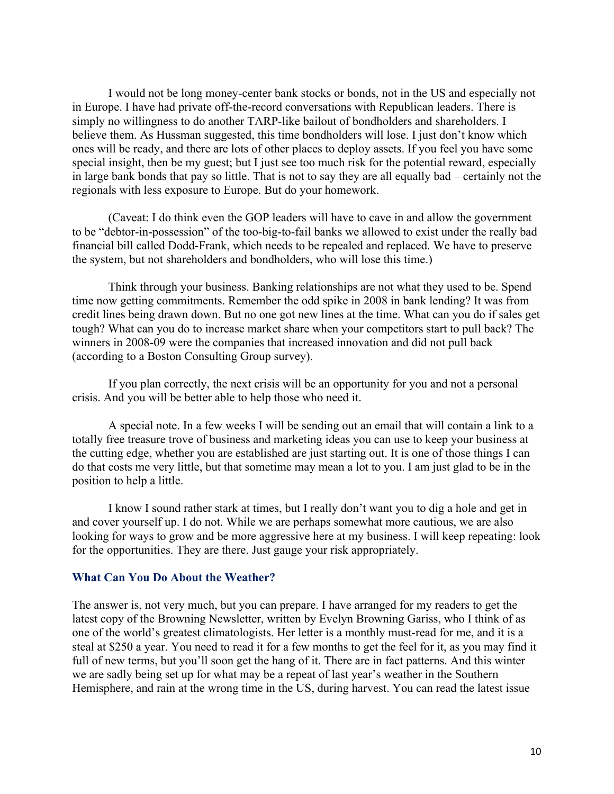I would not be long money-center bank stocks or bonds, not in the US and especially not in Europe. I have had private off-the-record conversations with Republican leaders. There is simply no willingness to do another TARP-like bailout of bondholders and shareholders. I believe them. As Hussman suggested, this time bondholders will lose. I just don't know which ones will be ready, and there are lots of other places to deploy assets. If you feel you have some special insight, then be my guest; but I just see too much risk for the potential reward, especially in large bank bonds that pay so little. That is not to say they are all equally bad – certainly not the regionals with less exposure to Europe. But do your homework.

(Caveat: I do think even the GOP leaders will have to cave in and allow the government to be "debtor-in-possession" of the too-big-to-fail banks we allowed to exist under the really bad financial bill called Dodd-Frank, which needs to be repealed and replaced. We have to preserve the system, but not shareholders and bondholders, who will lose this time.)

Think through your business. Banking relationships are not what they used to be. Spend time now getting commitments. Remember the odd spike in 2008 in bank lending? It was from credit lines being drawn down. But no one got new lines at the time. What can you do if sales get tough? What can you do to increase market share when your competitors start to pull back? The winners in 2008-09 were the companies that increased innovation and did not pull back (according to a Boston Consulting Group survey).

If you plan correctly, the next crisis will be an opportunity for you and not a personal crisis. And you will be better able to help those who need it.

A special note. In a few weeks I will be sending out an email that will contain a link to a totally free treasure trove of business and marketing ideas you can use to keep your business at the cutting edge, whether you are established are just starting out. It is one of those things I can do that costs me very little, but that sometime may mean a lot to you. I am just glad to be in the position to help a little.

I know I sound rather stark at times, but I really don't want you to dig a hole and get in and cover yourself up. I do not. While we are perhaps somewhat more cautious, we are also looking for ways to grow and be more aggressive here at my business. I will keep repeating: look for the opportunities. They are there. Just gauge your risk appropriately.

#### **What Can You Do About the Weather?**

The answer is, not very much, but you can prepare. I have arranged for my readers to get the latest copy of the Browning Newsletter, written by Evelyn Browning Gariss, who I think of as one of the world's greatest climatologists. Her letter is a monthly must-read for me, and it is a steal at \$250 a year. You need to read it for a few months to get the feel for it, as you may find it full of new terms, but you'll soon get the hang of it. There are in fact patterns. And this winter we are sadly being set up for what may be a repeat of last year's weather in the Southern Hemisphere, and rain at the wrong time in the US, during harvest. You can read the latest issue